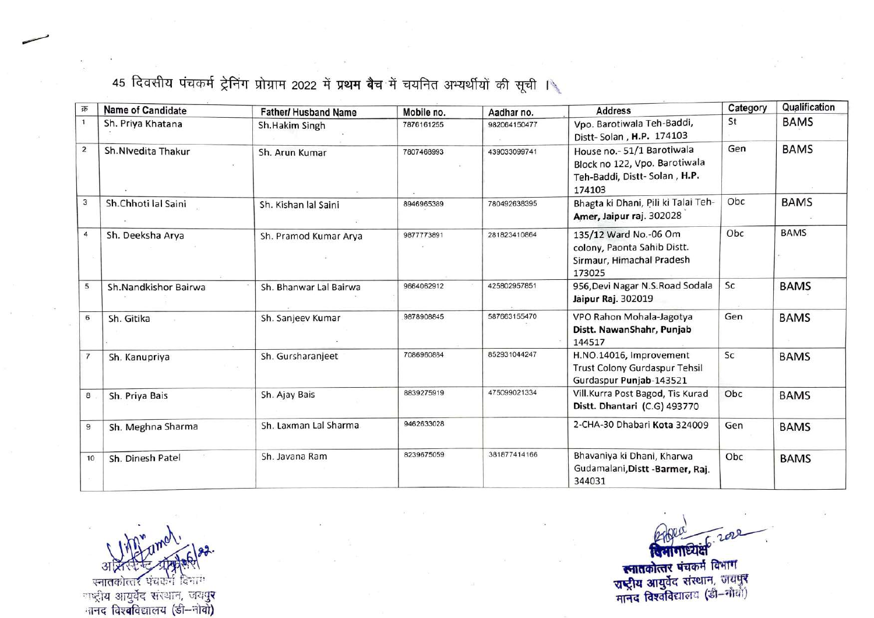45 दिवसीय पंचकर्म ट्रेनिंग प्रोग्राम 2022 में प्रथम बैच में चयनित अभ्यर्थीयों की सूची ।

| क्र            | <b>Name of Candidate</b> | <b>Father/ Husband Name</b> | Mobile no. | Aadhar no.   | <b>Address</b>                                                                                       | Category | Qualification |
|----------------|--------------------------|-----------------------------|------------|--------------|------------------------------------------------------------------------------------------------------|----------|---------------|
| $\mathbf{1}$   | Sh. Priya Khatana        | Sh.Hakim Singh              | 7876161255 | 982064150477 | Vpo. Barotiwala Teh-Baddi,<br>Distt-Solan, H.P. 174103                                               | St       | <b>BAMS</b>   |
| $\overline{2}$ | Sh.NIvedita Thakur       | Sh. Arun Kumar              | 7807468993 | 439033099741 | House no.-51/1 Barotiwala<br>Block no 122, Vpo. Barotiwala<br>Teh-Baddi, Distt-Solan, H.P.<br>174103 | Gen      | <b>BAMS</b>   |
| 3              | Sh.Chhoti lal Saini      | Sh. Kishan lal Saini        | 8946965389 | 780492638395 | Bhagta ki Dhani, Pili ki Talai Teh-<br>Amer, Jaipur raj. 302028                                      | Obc      | <b>BAMS</b>   |
| 4              | Sh. Deeksha Arya         | Sh. Pramod Kumar Arya       | 9877773891 | 281823410864 | 135/12 Ward No.-06 Om<br>colony, Paonta Sahib Distt.<br>Sirmaur, Himachal Pradesh<br>173025          | Obc      | <b>BAMS</b>   |
| 5              | Sh.Nandkishor Bairwa     | Sh. Bhanwar Lal Bairwa      | 9664062912 | 425802957851 | 956, Devi Nagar N.S. Road Sodala<br>Jaipur Raj. 302019                                               | Sc       | <b>BAMS</b>   |
| 6              | Sh. Gitika               | Sh. Sanjeev Kumar           | 9878908845 | 587663155470 | VPO Rahon Mohala-Jagotya<br>Distt. NawanShahr, Punjab<br>144517                                      | Gen      | <b>BAMS</b>   |
|                | Sh. Kanupriya            | Sh. Gursharanjeet           | 7086960884 | 852931044247 | H.NO.14016, Improvement<br>Trust Colony Gurdaspur Tehsil<br>Gurdaspur Punjab-143521                  | Sc       | <b>BAMS</b>   |
| 8              | Sh. Priya Bais           | Sh. Ajay Bais               | 8839275919 | 475099021334 | Vill.Kurra Post Bagod, Tis Kurad<br>Distt. Dhantari (C.G) 493770                                     | Obc      | <b>BAMS</b>   |
| 9              | Sh. Meghna Sharma        | Sh. Laxman Lal Sharma       | 9462633028 |              | 2-CHA-30 Dhabari Kota 324009                                                                         | Gen      | <b>BAMS</b>   |
| 10             | Sh. Dinesh Patel         | Sh. Javana Ram              | 8239675059 | 381877414166 | Bhavaniya ki Dhani, Kharwa<br>Gudamalani, Distt - Barmer, Raj.<br>344031                             | Obc      | <b>BAMS</b>   |

आश्रास्त्र स्टब्स् अक्रिकेश<br>गतकोत्तर पंचकर्त विभाग **\*** राष्ट्राय आयुवेद सरथान, जयपु नानद विश्**व**विद्यालय (डी–नोवो**)** 

 $\mathbf{Y} = \mathbf{Y}$ 

**स्नातकोत्तर** मानद विश्वविद्यालय (डी–मीय!)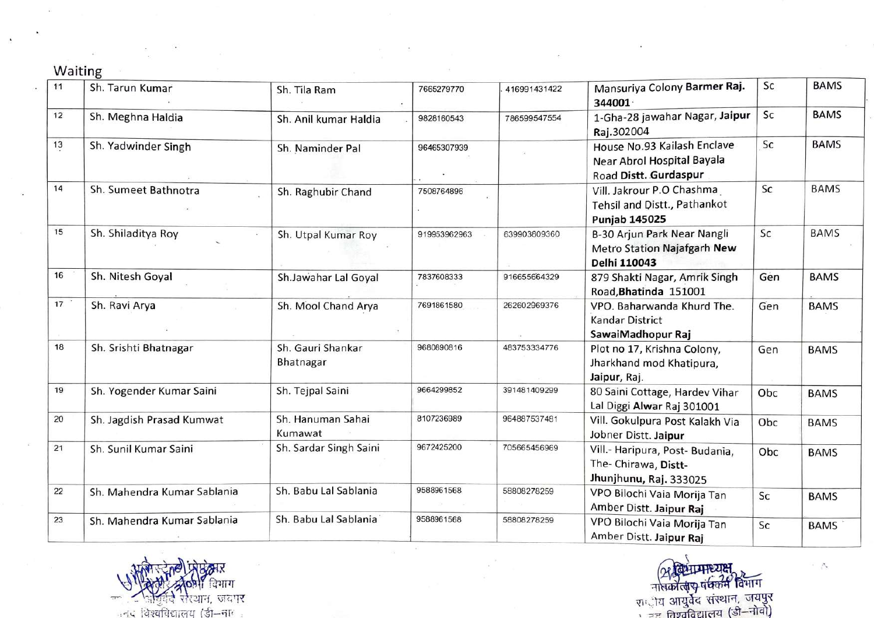## Waiting

 $\frac{1}{2}$  ,  $\frac{1}{2}$ 

| 11   | Sh. Tarun Kumar             | Sh. Tila Ram                   | 7665279770   | 416991431422 | Mansuriya Colony Barmer Raj.<br>344001                                             | Sc  | <b>BAMS</b> |
|------|-----------------------------|--------------------------------|--------------|--------------|------------------------------------------------------------------------------------|-----|-------------|
| 12   | Sh. Meghna Haldia           | Sh. Anil kumar Haldia          | 9828160543   | 786599547554 | 1-Gha-28 jawahar Nagar, Jaipur<br>Raj.302004                                       | Sc  | <b>BAMS</b> |
| $13$ | Sh. Yadwinder Singh         | Sh. Naminder Pal               | 96465307939  |              | House No.93 Kailash Enclave<br>Near Abrol Hospital Bayala<br>Road Distt. Gurdaspur | Sc  | <b>BAMS</b> |
| 14   | Sh. Sumeet Bathnotra        | Sh. Raghubir Chand             | 7508764896   |              | Vill. Jakrour P.O Chashma<br>Tehsil and Distt., Pathankot<br><b>Punjab 145025</b>  | Sc  | <b>BAMS</b> |
| 15   | Sh. Shiladitya Roy          | Sh. Utpal Kumar Roy            | 919953962963 | 639903809360 | B-30 Arjun Park Near Nangli<br>Metro Station Najafgarh New<br>Delhi 110043         | Sc  | <b>BAMS</b> |
| 16   | Sh. Nitesh Goyal            | Sh.Jawahar Lal Goyal           | 7837608333   | 916655664329 | 879 Shakti Nagar, Amrik Singh<br>Road, Bhatinda 151001                             | Gen | <b>BAMS</b> |
| 17   | Sh. Ravi Arya               | Sh. Mool Chand Arya            | 7691861580   | 262602969376 | VPO. Baharwanda Khurd The.<br><b>Kandar District</b><br>SawaiMadhopur Raj          | Gen | <b>BAMS</b> |
| 18   | Sh. Srishti Bhatnagar       | Sh. Gauri Shankar<br>Bhatnagar | 9680890816   | 483753334776 | Plot no 17, Krishna Colony,<br>Jharkhand mod Khatipura,<br>Jaipur, Raj.            | Gen | <b>BAMS</b> |
| 19   | Sh. Yogender Kumar Saini    | Sh. Tejpal Saini               | 9664299852   | 391481409299 | 80 Saini Cottage, Hardev Vihar<br>Lal Diggi Alwar Raj 301001                       | Obc | <b>BAMS</b> |
| 20   | Sh. Jagdish Prasad Kumwat   | Sh. Hanuman Sahai<br>Kumawat   | 8107236989   | 964887537481 | Vill. Gokulpura Post Kalakh Via<br>Jobner Distt. Jaipur                            | Obc | <b>BAMS</b> |
| 21   | Sh. Sunil Kumar Saini       | Sh. Sardar Singh Saini         | 9672425200   | 705665456969 | Vill.- Haripura, Post- Budania,<br>The- Chirawa, Distt-<br>Jhunjhunu, Raj. 333025  | Obc | <b>BAMS</b> |
| 22   | Sh. Mahendra Kumar Sablania | Sh. Babu Lal Sablania          | 9588961568   | 58808278259  | VPO Bilochi Vaia Morija Tan<br>Amber Distt. Jaipur Raj                             | Sc  | <b>BAMS</b> |
| 23   | Sh. Mahendra Kumar Sablania | Sh. Babu Lal Sablania          | 9588961568   | 58808278259  | VPO Bilochi Vaia Morija Tan<br>Amber Distt. Jaipur Raj                             | Sc  | <b>BAMS</b> |

in a strip of the strip of the strip of the strip of the strip of the strip of the strip of the strip of the strip of the strip of the strip of the strip of the strip of the strip of the strip of the strip of the strip of विभाग

राष्ट्रीय आयुर्वेद संस्थान, ' == तिश्वविद्यालय (डी–नीवी)

-''-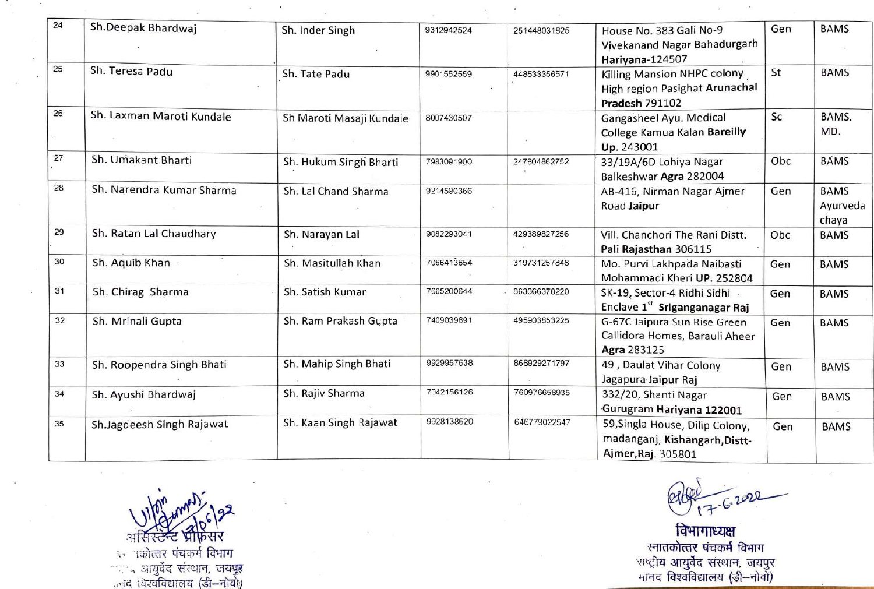| 24 | Sh.Deepak Bhardwaj        |                          |            |              |                                                               | Gen | <b>BAMS</b> |
|----|---------------------------|--------------------------|------------|--------------|---------------------------------------------------------------|-----|-------------|
|    |                           | Sh. Inder Singh          | 9312942524 | 251448031825 | House No. 383 Gali No-9<br>Vivekanand Nagar Bahadurgarh       |     |             |
| 25 | Sh. Teresa Padu           |                          |            |              | Hariyana-124507                                               |     |             |
|    |                           | Sh. Tate Padu            | 9901552559 | 448533356571 | Killing Mansion NHPC colony<br>High region Pasighat Arunachal | St  | <b>BAMS</b> |
|    |                           |                          |            |              | <b>Pradesh 791102</b>                                         |     |             |
| 26 | Sh. Laxman Maroti Kundale | Sh Maroti Masaji Kundale | 8007430507 |              | Gangasheel Ayu. Medical                                       | Sc  | BAMS.       |
|    |                           |                          |            |              | College Kamua Kalan Bareilly                                  |     | MD.         |
|    |                           |                          |            |              | Up. 243001                                                    |     |             |
| 27 | Sh. Umakant Bharti        | Sh. Hukum Singh Bharti   | 7983091900 | 247804862752 | 33/19A/6D Lohiya Nagar                                        | Obc | <b>BAMS</b> |
|    |                           |                          |            |              | Balkeshwar Agra 282004                                        |     |             |
| 28 | Sh. Narendra Kumar Sharma | Sh. Lal Chand Sharma     | 9214590366 |              | AB-416, Nirman Nagar Ajmer                                    | Gen | <b>BAMS</b> |
|    |                           |                          |            |              | Road Jaipur                                                   |     | Ayurveda    |
|    |                           |                          |            |              |                                                               |     | chaya       |
| 29 | Sh. Ratan Lal Chaudhary   | Sh. Narayan Lal          | 9082293041 | 429389827256 | Vill. Chanchori The Rani Distt.                               | Obc | <b>BAMS</b> |
|    |                           |                          |            |              | Pali Rajasthan 306115                                         |     |             |
| 30 | Sh. Aquib Khan            | Sh. Masitullah Khan      | 7066413654 | 319731257848 | Mo. Purvi Lakhpada Naibasti                                   | Gen | <b>BAMS</b> |
|    |                           |                          |            |              | Mohammadi Kheri UP. 252804                                    |     |             |
| 31 | Sh. Chirag Sharma         | Sh. Satish Kumar         | 7665200644 | 863366378220 | SK-19, Sector-4 Ridhi Sidhi .                                 | Gen | <b>BAMS</b> |
|    |                           |                          |            |              | Enclave 1st Sriganganagar Raj                                 |     |             |
| 32 | Sh. Mrinali Gupta         | Sh. Ram Prakash Gupta    | 7409039691 | 495903853225 | G-67C Jaipura Sun Rise Green                                  | Gen | <b>BAMS</b> |
|    |                           |                          |            |              | Callidora Homes, Barauli Aheer                                |     |             |
| 33 |                           | Sh. Mahip Singh Bhati    | 9929957638 | 868929271797 | Agra 283125                                                   |     |             |
|    | Sh. Roopendra Singh Bhati |                          |            |              | 49, Daulat Vihar Colony<br>Jagapura Jaipur Raj                | Gen | <b>BAMS</b> |
| 34 | Sh. Ayushi Bhardwaj       | Sh. Rajiv Sharma         | 7042156126 | 760976658935 | 332/20, Shanti Nagar                                          |     |             |
|    |                           |                          |            |              | Gurugram Hariyana 122001                                      | Gen | <b>BAMS</b> |
| 35 | Sh.Jagdeesh Singh Rajawat | Sh. Kaan Singh Rajawat   | 9928138620 | 646779022547 | 59, Singla House, Dilip Colony,                               |     |             |
|    |                           |                          |            |              | madanganj, Kishangarh, Distt-                                 | Gen | <b>BAMS</b> |
|    |                           |                          |            |              | Ajmer, Raj. 305801                                            |     |             |
|    |                           |                          |            |              |                                                               |     |             |

 $202$  $7.6$  .

विभागाध्यक्ष रना**तकोत्तर** सरथान, मानद विश्वविद्यालय (ङी—नोवो)

. ·r त्त्रः । पर्कात्तरं पंचकर्म -· · ·.., 01~ ~c(' ~ ~QTR, ,,.-r~ it-°T~'t.1Tffl:f *(~- -.=um1;* 

 $\sim$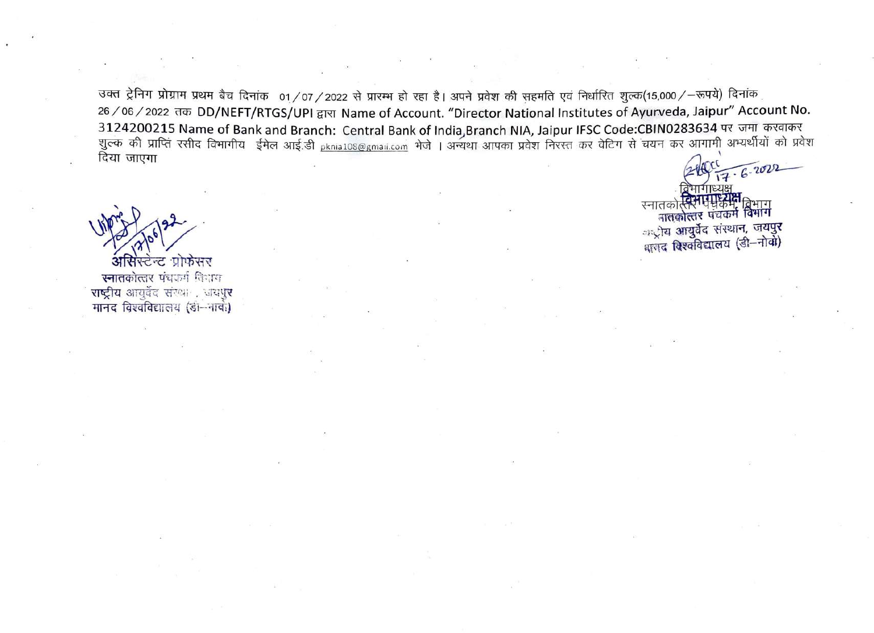उक्त ट्रेनिग प्रोग्राम प्रथम बैच दिनांक 01/07/2022 से प्रारम्भ हो रहा है। अपने प्रवेश की सहमति एवं निर्धारित शुल्क(15,000/-रूपये) दिनांक 26 / 06 / 2022 तक DD/NEFT/RTGS/UPI द्वारा Name of Account. "Director National Institutes of Ayurveda, Jaipur" Account No. 3124200215 Name of Bank and Branch: Central Bank of India,Branch NIA, Jaipur IFSC Code:CBIN0283634 पर जमा करवाकर<br>शुल्क की प्राप्ति रसीद विभागीय ईमेल आई.डी <sub>Pknia108@gmail.com</sub> भेजे । अन्यथा आपका प्रवेश निरस्त कर वेटिंग स दिया जाएगा

प्रोफसर ਸ਼ਾ ਜ स्नातकोत्तर पंचकर्म विधाय राष्ट्रीय आयुर्वेद संख्या प्रायपुर मानद विश्वविद्यालय (डॉ-नावी)

 $-6.2022$ ।तकात्तर पद्यक्रम विभाग<br>नातकोत्तर पंचकर्म विभाग स्नातव <sub>ा</sub>ू)य आयुर्वेद संस्थान, जयपुर भाजद विश्वविद्यालय (डी-नोवो)